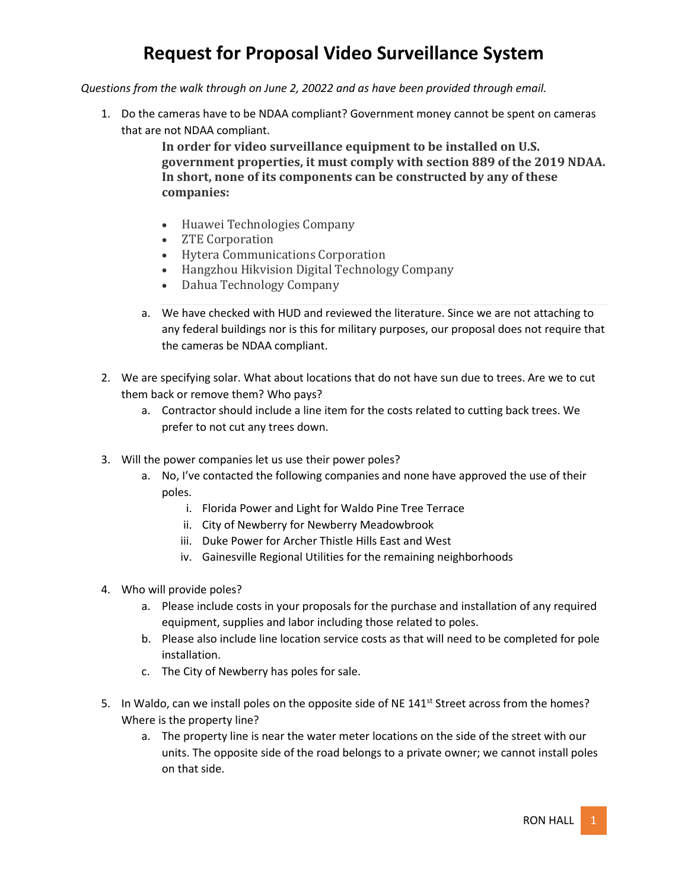*Questions from the walk through on June 2, 20022 and as have been provided through email.* 

1. Do the cameras have to be NDAA compliant? Government money cannot be spent on cameras that are not NDAA compliant.

> **In order for video surveillance equipment to be installed on U.S. government properties, it must comply with section 889 of the 2019 NDAA. In short, none of its components can be constructed by any of these companies:**

- Huawei Technologies Company
- **ZTE Corporation**
- Hytera Communications Corporation
- Hangzhou Hikvision Digital Technology Company
- Dahua Technology Company
- a. We have checked with HUD and reviewed the literature. Since we are not attaching to any federal buildings nor is this for military purposes, our proposal does not require that the cameras be NDAA compliant.
- 2. We are specifying solar. What about locations that do not have sun due to trees. Are we to cut them back or remove them? Who pays?
	- a. Contractor should include a line item for the costs related to cutting back trees. We prefer to not cut any trees down.
- 3. Will the power companies let us use their power poles?
	- a. No, I've contacted the following companies and none have approved the use of their poles.
		- i. Florida Power and Light for Waldo Pine Tree Terrace
		- ii. City of Newberry for Newberry Meadowbrook
		- iii. Duke Power for Archer Thistle Hills East and West
		- iv. Gainesville Regional Utilities for the remaining neighborhoods
- 4. Who will provide poles?
	- a. Please include costs in your proposals for the purchase and installation of any required equipment, supplies and labor including those related to poles.
	- b. Please also include line location service costs as that will need to be completed for pole installation.
	- c. The City of Newberry has poles for sale.
- 5. In Waldo, can we install poles on the opposite side of NE 141<sup>st</sup> Street across from the homes? Where is the property line?
	- a. The property line is near the water meter locations on the side of the street with our units. The opposite side of the road belongs to a private owner; we cannot install poles on that side.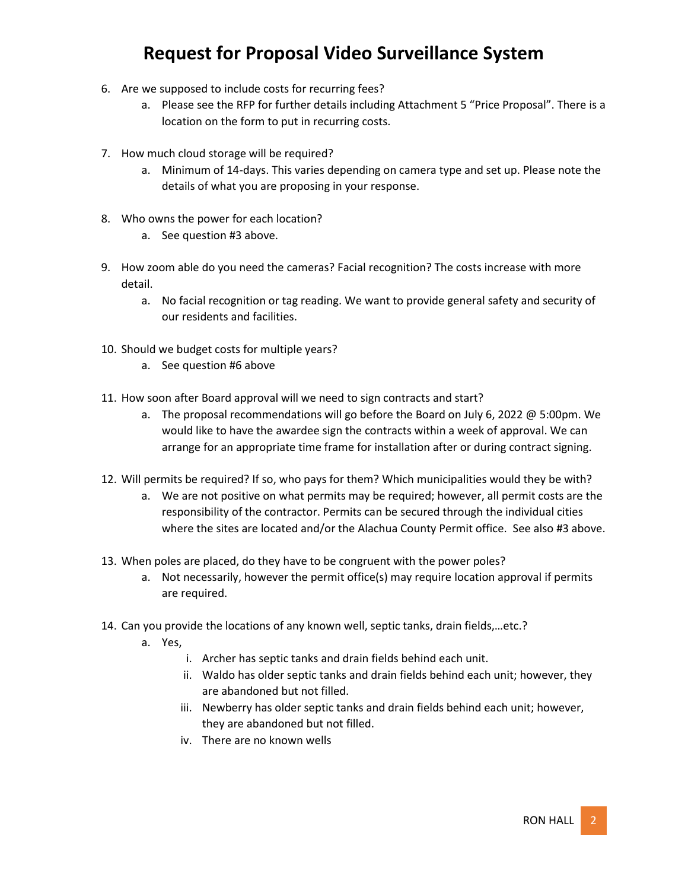- 6. Are we supposed to include costs for recurring fees?
	- a. Please see the RFP for further details including Attachment 5 "Price Proposal". There is a location on the form to put in recurring costs.
- 7. How much cloud storage will be required?
	- a. Minimum of 14-days. This varies depending on camera type and set up. Please note the details of what you are proposing in your response.
- 8. Who owns the power for each location?
	- a. See question #3 above.
- 9. How zoom able do you need the cameras? Facial recognition? The costs increase with more detail.
	- a. No facial recognition or tag reading. We want to provide general safety and security of our residents and facilities.
- 10. Should we budget costs for multiple years?
	- a. See question #6 above
- 11. How soon after Board approval will we need to sign contracts and start?
	- a. The proposal recommendations will go before the Board on July 6, 2022 @ 5:00pm. We would like to have the awardee sign the contracts within a week of approval. We can arrange for an appropriate time frame for installation after or during contract signing.
- 12. Will permits be required? If so, who pays for them? Which municipalities would they be with?
	- a. We are not positive on what permits may be required; however, all permit costs are the responsibility of the contractor. Permits can be secured through the individual cities where the sites are located and/or the Alachua County Permit office. See also #3 above.
- 13. When poles are placed, do they have to be congruent with the power poles?
	- a. Not necessarily, however the permit office(s) may require location approval if permits are required.
- 14. Can you provide the locations of any known well, septic tanks, drain fields,…etc.?
	- a. Yes,
		- i. Archer has septic tanks and drain fields behind each unit.
		- ii. Waldo has older septic tanks and drain fields behind each unit; however, they are abandoned but not filled.
		- iii. Newberry has older septic tanks and drain fields behind each unit; however, they are abandoned but not filled.
		- iv. There are no known wells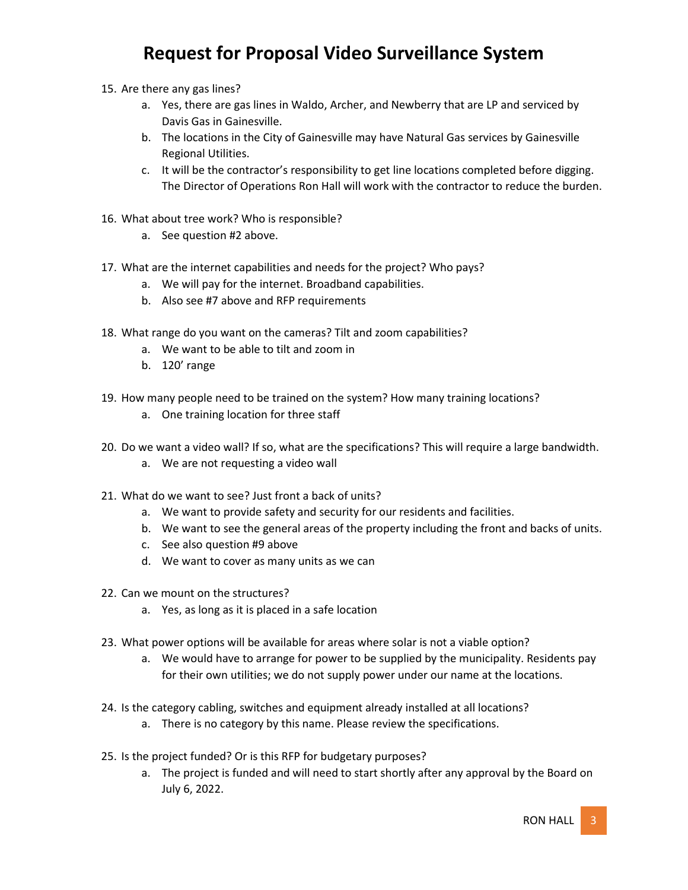- 15. Are there any gas lines?
	- a. Yes, there are gas lines in Waldo, Archer, and Newberry that are LP and serviced by Davis Gas in Gainesville.
	- b. The locations in the City of Gainesville may have Natural Gas services by Gainesville Regional Utilities.
	- c. It will be the contractor's responsibility to get line locations completed before digging. The Director of Operations Ron Hall will work with the contractor to reduce the burden.
- 16. What about tree work? Who is responsible?
	- a. See question #2 above.
- 17. What are the internet capabilities and needs for the project? Who pays?
	- a. We will pay for the internet. Broadband capabilities.
	- b. Also see #7 above and RFP requirements
- 18. What range do you want on the cameras? Tilt and zoom capabilities?
	- a. We want to be able to tilt and zoom in
	- b. 120' range
- 19. How many people need to be trained on the system? How many training locations?
	- a. One training location for three staff
- 20. Do we want a video wall? If so, what are the specifications? This will require a large bandwidth.
	- a. We are not requesting a video wall
- 21. What do we want to see? Just front a back of units?
	- a. We want to provide safety and security for our residents and facilities.
	- b. We want to see the general areas of the property including the front and backs of units.
	- c. See also question #9 above
	- d. We want to cover as many units as we can
- 22. Can we mount on the structures?
	- a. Yes, as long as it is placed in a safe location
- 23. What power options will be available for areas where solar is not a viable option?
	- a. We would have to arrange for power to be supplied by the municipality. Residents pay for their own utilities; we do not supply power under our name at the locations.
- 24. Is the category cabling, switches and equipment already installed at all locations?
	- a. There is no category by this name. Please review the specifications.
- 25. Is the project funded? Or is this RFP for budgetary purposes?
	- a. The project is funded and will need to start shortly after any approval by the Board on July 6, 2022.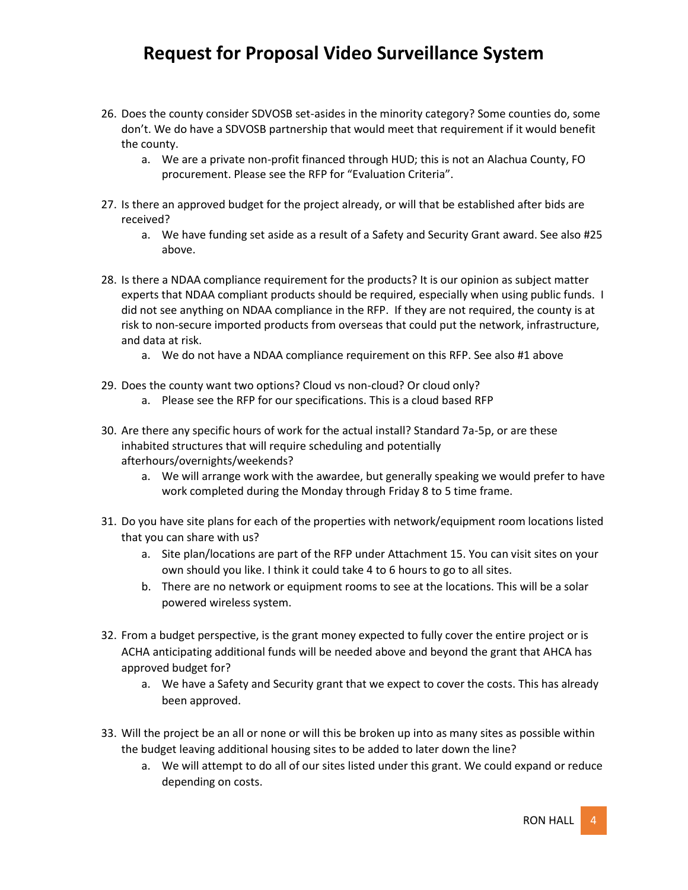- 26. Does the county consider SDVOSB set-asides in the minority category? Some counties do, some don't. We do have a SDVOSB partnership that would meet that requirement if it would benefit the county.
	- a. We are a private non-profit financed through HUD; this is not an Alachua County, FO procurement. Please see the RFP for "Evaluation Criteria".
- 27. Is there an approved budget for the project already, or will that be established after bids are received?
	- a. We have funding set aside as a result of a Safety and Security Grant award. See also #25 above.
- 28. Is there a NDAA compliance requirement for the products? It is our opinion as subject matter experts that NDAA compliant products should be required, especially when using public funds. I did not see anything on NDAA compliance in the RFP. If they are not required, the county is at risk to non-secure imported products from overseas that could put the network, infrastructure, and data at risk.
	- a. We do not have a NDAA compliance requirement on this RFP. See also #1 above
- 29. Does the county want two options? Cloud vs non-cloud? Or cloud only?
	- a. Please see the RFP for our specifications. This is a cloud based RFP
- 30. Are there any specific hours of work for the actual install? Standard 7a-5p, or are these inhabited structures that will require scheduling and potentially afterhours/overnights/weekends?
	- a. We will arrange work with the awardee, but generally speaking we would prefer to have work completed during the Monday through Friday 8 to 5 time frame.
- 31. Do you have site plans for each of the properties with network/equipment room locations listed that you can share with us?
	- a. Site plan/locations are part of the RFP under Attachment 15. You can visit sites on your own should you like. I think it could take 4 to 6 hours to go to all sites.
	- b. There are no network or equipment rooms to see at the locations. This will be a solar powered wireless system.
- 32. From a budget perspective, is the grant money expected to fully cover the entire project or is ACHA anticipating additional funds will be needed above and beyond the grant that AHCA has approved budget for?
	- a. We have a Safety and Security grant that we expect to cover the costs. This has already been approved.
- 33. Will the project be an all or none or will this be broken up into as many sites as possible within the budget leaving additional housing sites to be added to later down the line?
	- a. We will attempt to do all of our sites listed under this grant. We could expand or reduce depending on costs.